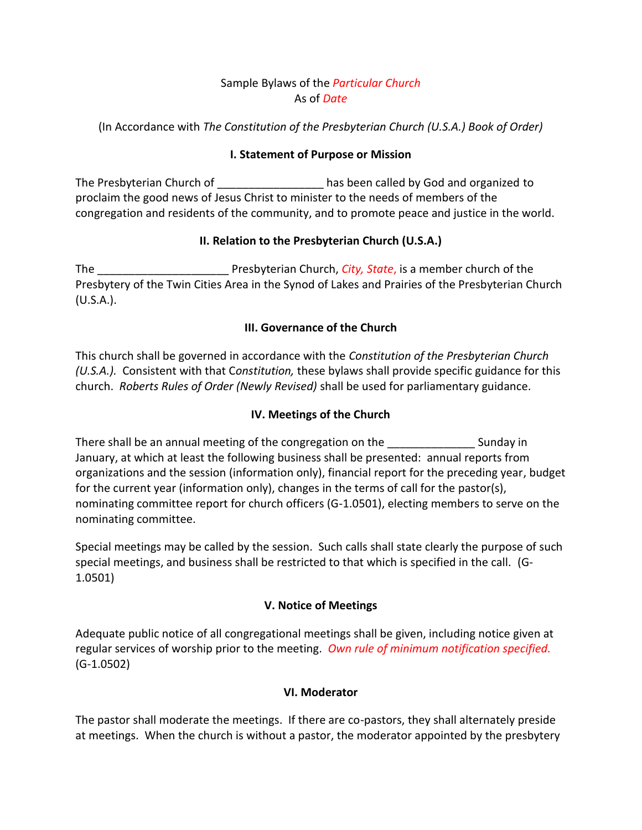# Sample Bylaws of the *Particular Church* As of *Date*

(In Accordance with *The Constitution of the Presbyterian Church (U.S.A.) Book of Order)*

# **I. Statement of Purpose or Mission**

The Presbyterian Church of **Exercise 20** has been called by God and organized to proclaim the good news of Jesus Christ to minister to the needs of members of the congregation and residents of the community, and to promote peace and justice in the world.

# **II. Relation to the Presbyterian Church (U.S.A.)**

The \_\_\_\_\_\_\_\_\_\_\_\_\_\_\_\_\_\_\_\_\_ Presbyterian Church, *City, State*, is a member church of the Presbytery of the Twin Cities Area in the Synod of Lakes and Prairies of the Presbyterian Church (U.S.A.).

# **III. Governance of the Church**

This church shall be governed in accordance with the *Constitution of the Presbyterian Church (U.S.A.).* Consistent with that C*onstitution,* these bylaws shall provide specific guidance for this church. *Roberts Rules of Order (Newly Revised)* shall be used for parliamentary guidance.

# **IV. Meetings of the Church**

There shall be an annual meeting of the congregation on the \_\_\_\_\_\_\_\_\_\_\_\_\_\_ Sunday in January, at which at least the following business shall be presented: annual reports from organizations and the session (information only), financial report for the preceding year, budget for the current year (information only), changes in the terms of call for the pastor(s), nominating committee report for church officers (G-1.0501), electing members to serve on the nominating committee.

Special meetings may be called by the session. Such calls shall state clearly the purpose of such special meetings, and business shall be restricted to that which is specified in the call. (G-1.0501)

# **V. Notice of Meetings**

Adequate public notice of all congregational meetings shall be given, including notice given at regular services of worship prior to the meeting. *Own rule of minimum notification specified.* (G-1.0502)

### **VI. Moderator**

The pastor shall moderate the meetings. If there are co-pastors, they shall alternately preside at meetings. When the church is without a pastor, the moderator appointed by the presbytery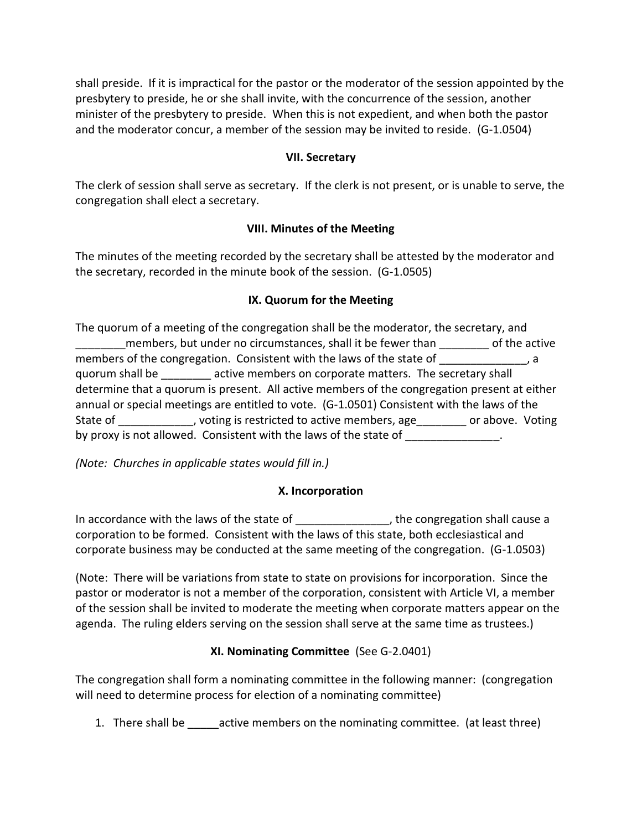shall preside. If it is impractical for the pastor or the moderator of the session appointed by the presbytery to preside, he or she shall invite, with the concurrence of the session, another minister of the presbytery to preside. When this is not expedient, and when both the pastor and the moderator concur, a member of the session may be invited to reside. (G-1.0504)

#### **VII. Secretary**

The clerk of session shall serve as secretary. If the clerk is not present, or is unable to serve, the congregation shall elect a secretary.

### **VIII. Minutes of the Meeting**

The minutes of the meeting recorded by the secretary shall be attested by the moderator and the secretary, recorded in the minute book of the session. (G-1.0505)

#### **IX. Quorum for the Meeting**

The quorum of a meeting of the congregation shall be the moderator, the secretary, and \_\_\_\_\_\_\_\_members, but under no circumstances, shall it be fewer than \_\_\_\_\_\_\_\_ of the active members of the congregation. Consistent with the laws of the state of \_\_\_\_\_\_\_\_\_\_\_\_\_, a quorum shall be \_\_\_\_\_\_\_\_ active members on corporate matters. The secretary shall determine that a quorum is present. All active members of the congregation present at either annual or special meetings are entitled to vote. (G-1.0501) Consistent with the laws of the State of \_\_\_\_\_\_\_\_\_\_\_, voting is restricted to active members, age\_\_\_\_\_\_\_\_ or above. Voting by proxy is not allowed. Consistent with the laws of the state of  $\blacksquare$ 

*(Note: Churches in applicable states would fill in.)*

#### **X. Incorporation**

In accordance with the laws of the state of The state of the state of the congregation shall cause a corporation to be formed. Consistent with the laws of this state, both ecclesiastical and corporate business may be conducted at the same meeting of the congregation. (G-1.0503)

(Note: There will be variations from state to state on provisions for incorporation. Since the pastor or moderator is not a member of the corporation, consistent with Article VI, a member of the session shall be invited to moderate the meeting when corporate matters appear on the agenda. The ruling elders serving on the session shall serve at the same time as trustees.)

### **XI. Nominating Committee** (See G-2.0401)

The congregation shall form a nominating committee in the following manner: (congregation will need to determine process for election of a nominating committee)

1. There shall be  $\qquad$  active members on the nominating committee. (at least three)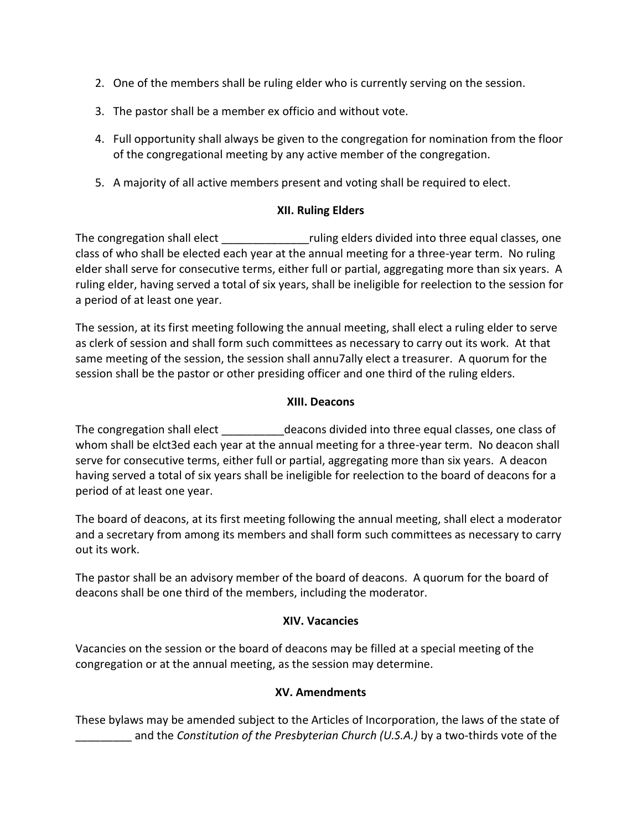- 2. One of the members shall be ruling elder who is currently serving on the session.
- 3. The pastor shall be a member ex officio and without vote.
- 4. Full opportunity shall always be given to the congregation for nomination from the floor of the congregational meeting by any active member of the congregation.
- 5. A majority of all active members present and voting shall be required to elect.

### **XII. Ruling Elders**

The congregation shall elect \_\_\_\_\_\_\_\_\_\_\_\_\_\_ruling elders divided into three equal classes, one class of who shall be elected each year at the annual meeting for a three-year term. No ruling elder shall serve for consecutive terms, either full or partial, aggregating more than six years. A ruling elder, having served a total of six years, shall be ineligible for reelection to the session for a period of at least one year.

The session, at its first meeting following the annual meeting, shall elect a ruling elder to serve as clerk of session and shall form such committees as necessary to carry out its work. At that same meeting of the session, the session shall annu7ally elect a treasurer. A quorum for the session shall be the pastor or other presiding officer and one third of the ruling elders.

#### **XIII. Deacons**

The congregation shall elect elect deacons divided into three equal classes, one class of whom shall be elct3ed each year at the annual meeting for a three-year term. No deacon shall serve for consecutive terms, either full or partial, aggregating more than six years. A deacon having served a total of six years shall be ineligible for reelection to the board of deacons for a period of at least one year.

The board of deacons, at its first meeting following the annual meeting, shall elect a moderator and a secretary from among its members and shall form such committees as necessary to carry out its work.

The pastor shall be an advisory member of the board of deacons. A quorum for the board of deacons shall be one third of the members, including the moderator.

#### **XIV. Vacancies**

Vacancies on the session or the board of deacons may be filled at a special meeting of the congregation or at the annual meeting, as the session may determine.

### **XV. Amendments**

These bylaws may be amended subject to the Articles of Incorporation, the laws of the state of \_\_\_\_\_\_\_\_\_ and the *Constitution of the Presbyterian Church (U.S.A.)* by a two-thirds vote of the